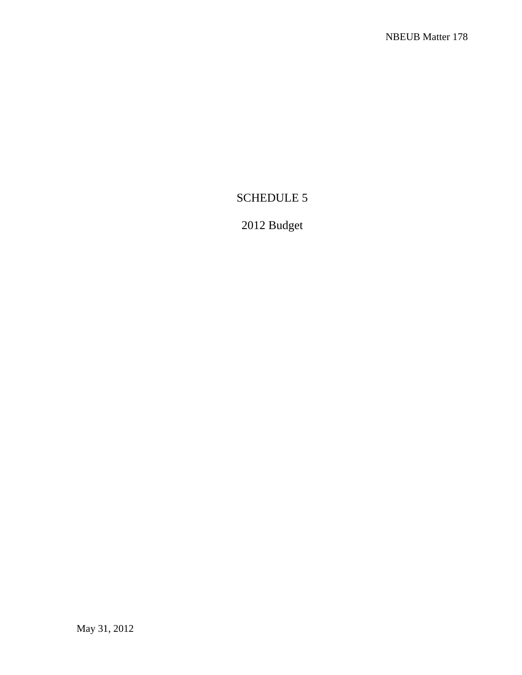## SCHEDULE 5

## 2012 Budget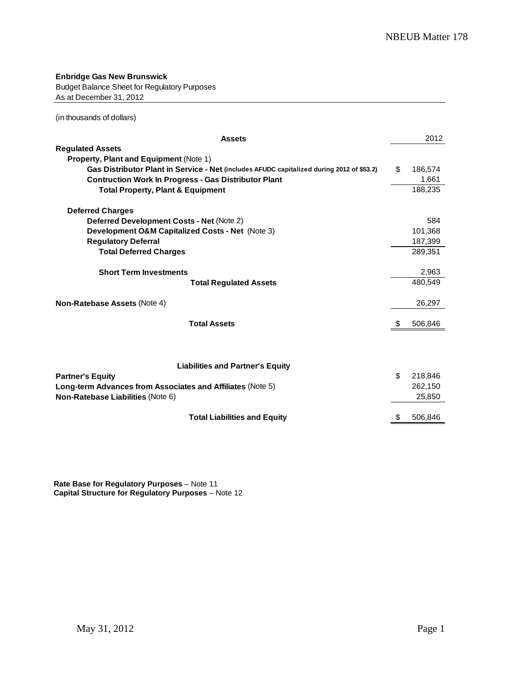**Enbridge Gas New Brunswick** Budget Balance Sheet for Regulatory Purposes As at December 31, 2012

(in thousands of dollars)

| <b>Assets</b>                                                                             |    | 2012    |
|-------------------------------------------------------------------------------------------|----|---------|
| <b>Regulated Assets</b>                                                                   |    |         |
| <b>Property, Plant and Equipment (Note 1)</b>                                             |    |         |
| Gas Distributor Plant in Service - Net (includes AFUDC capitalized during 2012 of \$53.2) | \$ | 186,574 |
| <b>Contruction Work In Progress - Gas Distributor Plant</b>                               |    | 1,661   |
| <b>Total Property, Plant &amp; Equipment</b>                                              |    | 188,235 |
| <b>Deferred Charges</b>                                                                   |    |         |
| Deferred Development Costs - Net (Note 2)                                                 |    | 584     |
| Development O&M Capitalized Costs - Net (Note 3)                                          |    | 101,368 |
| <b>Regulatory Deferral</b>                                                                |    | 187,399 |
| <b>Total Deferred Charges</b>                                                             |    | 289,351 |
| <b>Short Term Investments</b>                                                             |    | 2,963   |
| <b>Total Regulated Assets</b>                                                             |    | 480.549 |
| <b>Non-Ratebase Assets (Note 4)</b>                                                       |    | 26,297  |
| <b>Total Assets</b>                                                                       | S  | 506,846 |
|                                                                                           |    |         |
| <b>Liabilities and Partner's Equity</b>                                                   |    |         |
| <b>Partner's Equity</b>                                                                   | \$ | 218,846 |
| Long-term Advances from Associates and Affiliates (Note 5)                                |    | 262,150 |
| Non-Ratebase Liabilities (Note 6)                                                         |    | 25,850  |
| <b>Total Liabilities and Equity</b>                                                       | \$ | 506,846 |

**Rate Base for Regulatory Purposes** – Note 11 **Capital Structure for Regulatory Purposes** – Note 12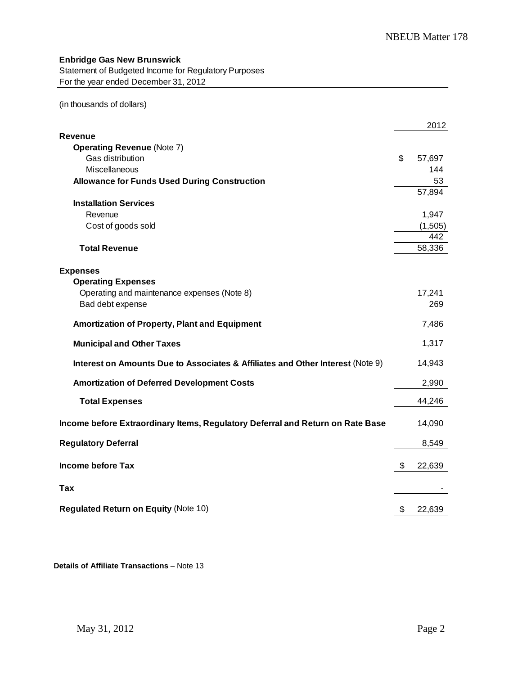## **Enbridge Gas New Brunswick**

Statement of Budgeted Income for Regulatory Purposes For the year ended December 31, 2012

(in thousands of dollars)

|                                                                                | 2012         |
|--------------------------------------------------------------------------------|--------------|
| <b>Revenue</b>                                                                 |              |
| <b>Operating Revenue (Note 7)</b>                                              |              |
| Gas distribution                                                               | \$<br>57,697 |
| <b>Miscellaneous</b>                                                           | 144          |
| <b>Allowance for Funds Used During Construction</b>                            | 53           |
|                                                                                | 57,894       |
| <b>Installation Services</b>                                                   |              |
| Revenue                                                                        | 1,947        |
| Cost of goods sold                                                             | (1,505)      |
|                                                                                | 442          |
| <b>Total Revenue</b>                                                           | 58,336       |
|                                                                                |              |
| <b>Expenses</b>                                                                |              |
| <b>Operating Expenses</b>                                                      |              |
| Operating and maintenance expenses (Note 8)                                    | 17,241       |
| Bad debt expense                                                               | 269          |
| Amortization of Property, Plant and Equipment                                  | 7,486        |
| <b>Municipal and Other Taxes</b>                                               | 1,317        |
|                                                                                |              |
| Interest on Amounts Due to Associates & Affiliates and Other Interest (Note 9) | 14,943       |
| <b>Amortization of Deferred Development Costs</b>                              | 2,990        |
| <b>Total Expenses</b>                                                          | 44,246       |
| Income before Extraordinary Items, Regulatory Deferral and Return on Rate Base | 14,090       |
|                                                                                |              |
| <b>Regulatory Deferral</b>                                                     | 8,549        |
| <b>Income before Tax</b>                                                       | \$<br>22,639 |
| Tax                                                                            |              |
|                                                                                |              |
| <b>Regulated Return on Equity (Note 10)</b>                                    | \$<br>22,639 |

**Details of Affiliate Transactions** – Note 13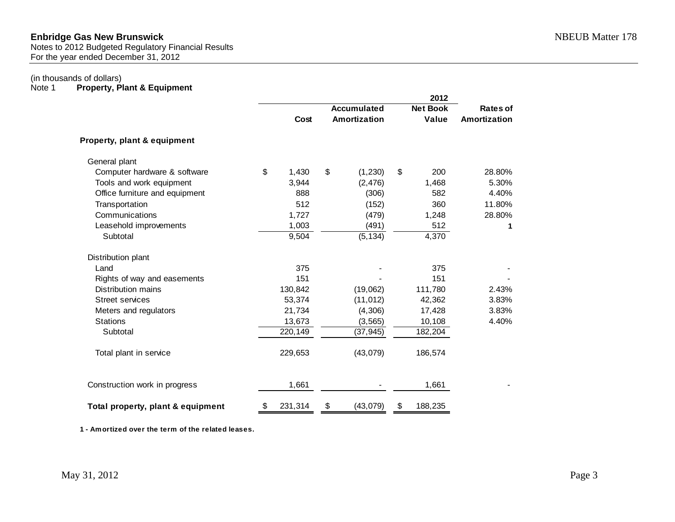Notes to 2012 Budgeted Regulatory Financial Results For the year ended December 31, 2012

# (in thousands of dollars)<br>Note 1 **Property, Pl**

**Property, Plant & Equipment** 

|                                   |               |                                    | 2012                     |                          |
|-----------------------------------|---------------|------------------------------------|--------------------------|--------------------------|
|                                   | Cost          | <b>Accumulated</b><br>Amortization | <b>Net Book</b><br>Value | Rates of<br>Amortization |
| Property, plant & equipment       |               |                                    |                          |                          |
| General plant                     |               |                                    |                          |                          |
| Computer hardware & software      | \$<br>1,430   | \$<br>(1, 230)                     | \$<br>200                | 28.80%                   |
| Tools and work equipment          | 3,944         | (2, 476)                           | 1,468                    | 5.30%                    |
| Office furniture and equipment    | 888           | (306)                              | 582                      | 4.40%                    |
| Transportation                    | 512           | (152)                              | 360                      | 11.80%                   |
| Communications                    | 1,727         | (479)                              | 1,248                    | 28.80%                   |
| Leasehold improvements            | 1,003         | (491)                              | 512                      | 1                        |
| Subtotal                          | 9,504         | (5, 134)                           | 4,370                    |                          |
| Distribution plant                |               |                                    |                          |                          |
| Land                              | 375           |                                    | 375                      |                          |
| Rights of way and easements       | 151           |                                    | 151                      |                          |
| <b>Distribution mains</b>         | 130,842       | (19,062)                           | 111,780                  | 2.43%                    |
| <b>Street services</b>            | 53,374        | (11, 012)                          | 42,362                   | 3.83%                    |
| Meters and regulators             | 21,734        | (4,306)                            | 17,428                   | 3.83%                    |
| <b>Stations</b>                   | 13,673        | (3, 565)                           | 10,108                   | 4.40%                    |
| Subtotal                          | 220,149       | (37, 945)                          | 182,204                  |                          |
| Total plant in service            | 229,653       | (43,079)                           | 186,574                  |                          |
| Construction work in progress     | 1,661         |                                    | 1,661                    |                          |
| Total property, plant & equipment | \$<br>231,314 | \$<br>(43,079)                     | \$<br>188,235            |                          |

**1 - Amortized over the term of the related leases.**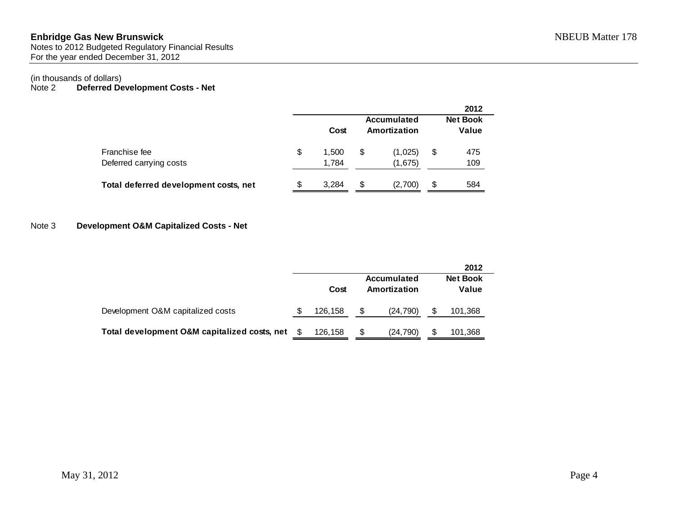### **Enbridge Gas New Brunswick** NBEUB Matter 178 Notes to 2012 Budgeted Regulatory Financial Results For the year ended December 31, 2012

# (in thousands of dollars)<br>Note 2 **Deferred De**

## Deferred Development Costs - Net

|                                          |    |                |                             | 2012                     |
|------------------------------------------|----|----------------|-----------------------------|--------------------------|
|                                          |    | Cost           | Accumulated<br>Amortization | <b>Net Book</b><br>Value |
| Franchise fee<br>Deferred carrying costs | \$ | 1.500<br>1,784 | \$<br>(1,025)<br>(1,675)    | \$<br>475<br>109         |
| Total deferred development costs, net    | S  | 3,284          | \$<br>(2,700)               | \$<br>584                |

## Note 3 **Development O&M Capitalized Costs - Net**

|                                              |      |         |   |                                    | 2012                     |  |
|----------------------------------------------|------|---------|---|------------------------------------|--------------------------|--|
|                                              |      | Cost    |   | <b>Accumulated</b><br>Amortization | <b>Net Book</b><br>Value |  |
| Development O&M capitalized costs            | S    | 126,158 | S | (24, 790)                          | 101,368                  |  |
| Total development O&M capitalized costs, net | - \$ | 126,158 | S | (24, 790)                          | 101,368                  |  |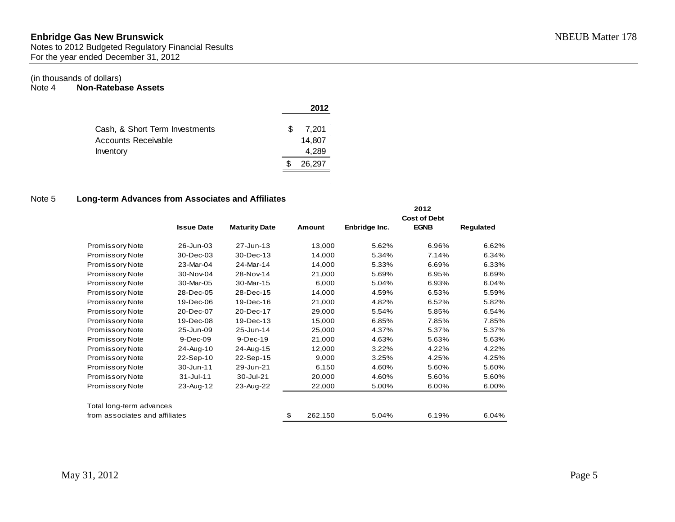Notes to 2012 Budgeted Regulatory Financial Results For the year ended December 31, 2012

## (in thousands of dollars)

Note 4 **Non-Ratebase Assets** 

|                                |   | 2012   |
|--------------------------------|---|--------|
| Cash, & Short Term Investments | S | 7.201  |
| Accounts Receivable            |   | 14,807 |
| Inventory                      |   | 4.289  |
|                                |   | 26.297 |

## Note 5 **Long-term Advances from Associates and Affiliates**

|                                |                   |                      |               |               | 2012<br><b>Cost of Debt</b> |           |
|--------------------------------|-------------------|----------------------|---------------|---------------|-----------------------------|-----------|
|                                | <b>Issue Date</b> | <b>Maturity Date</b> | <b>Amount</b> | Enbridge Inc. | <b>EGNB</b>                 | Regulated |
| <b>Promissory Note</b>         | 26-Jun-03         | 27-Jun-13            | 13,000        | 5.62%         | 6.96%                       | 6.62%     |
| <b>Promissory Note</b>         | 30-Dec-03         | 30-Dec-13            | 14,000        | 5.34%         | 7.14%                       | 6.34%     |
| Promissory Note                | 23-Mar-04         | 24-Mar-14            | 14,000        | 5.33%         | 6.69%                       | 6.33%     |
| <b>Promissory Note</b>         | 30-Nov-04         | 28-Nov-14            | 21,000        | 5.69%         | 6.95%                       | 6.69%     |
| Promissory Note                | 30-Mar-05         | 30-Mar-15            | 6,000         | 5.04%         | 6.93%                       | 6.04%     |
| <b>Promissory Note</b>         | 28-Dec-05         | 28-Dec-15            | 14,000        | 4.59%         | 6.53%                       | 5.59%     |
| <b>Promissory Note</b>         | 19-Dec-06         | 19-Dec-16            | 21,000        | 4.82%         | 6.52%                       | 5.82%     |
| <b>Promissory Note</b>         | 20-Dec-07         | 20-Dec-17            | 29,000        | 5.54%         | 5.85%                       | 6.54%     |
| <b>Promissory Note</b>         | 19-Dec-08         | 19-Dec-13            | 15,000        | 6.85%         | 7.85%                       | 7.85%     |
| Promissory Note                | 25-Jun-09         | 25-Jun-14            | 25,000        | 4.37%         | 5.37%                       | 5.37%     |
| Promissory Note                | 9-Dec-09          | 9-Dec-19             | 21,000        | 4.63%         | 5.63%                       | 5.63%     |
| Promissory Note                | 24-Aug-10         | 24-Aug-15            | 12,000        | 3.22%         | 4.22%                       | 4.22%     |
| Promissory Note                | 22-Sep-10         | 22-Sep-15            | 9,000         | 3.25%         | 4.25%                       | 4.25%     |
| Promissory Note                | 30-Jun-11         | 29-Jun-21            | 6,150         | 4.60%         | 5.60%                       | 5.60%     |
| <b>Promissory Note</b>         | 31-Jul-11         | 30-Jul-21            | 20,000        | 4.60%         | 5.60%                       | 5.60%     |
| Promissory Note                | 23-Aug-12         | 23-Aug-22            | 22,000        | 5.00%         | 6.00%                       | 6.00%     |
| Total long-term advances       |                   |                      |               |               |                             |           |
| from associates and affiliates |                   |                      | \$<br>262,150 | 5.04%         | 6.19%                       | 6.04%     |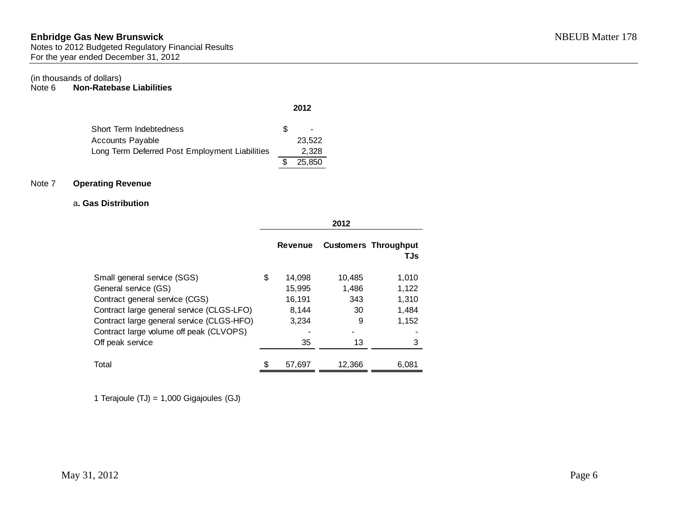Notes to 2012 Budgeted Regulatory Financial Results For the year ended December 31, 2012

## (in thousands of dollars)<br>Note 6 **Non-Ratebas**

**Non-Ratebase Liabilities** 

|                                                |    | 2012   |
|------------------------------------------------|----|--------|
| Short Term Indebtedness                        | S. |        |
| <b>Accounts Payable</b>                        |    | 23.522 |
| Long Term Deferred Post Employment Liabilities |    | 2.328  |
|                                                |    | 25.850 |

## Note 7 **Operating Revenue**

### a**. Gas Distribution**

|                                           | <b>Revenue</b> |        | <b>Customers Throughput</b><br>TJs |
|-------------------------------------------|----------------|--------|------------------------------------|
| Small general service (SGS)               | \$<br>14,098   | 10,485 | 1,010                              |
| General service (GS)                      | 15,995         | 1,486  | 1,122                              |
| Contract general service (CGS)            | 16,191         | 343    | 1,310                              |
| Contract large general service (CLGS-LFO) | 8.144          | 30     | 1.484                              |
| Contract large general service (CLGS-HFO) | 3,234          | 9      | 1,152                              |
| Contract large volume off peak (CLVOPS)   |                |        |                                    |
| Off peak service                          | 35             | 13     | 3                                  |
| Total                                     | 57,697         | 12.366 | 6,081                              |

1 Terajoule (TJ) = 1,000 Gigajoules (GJ)

**2012**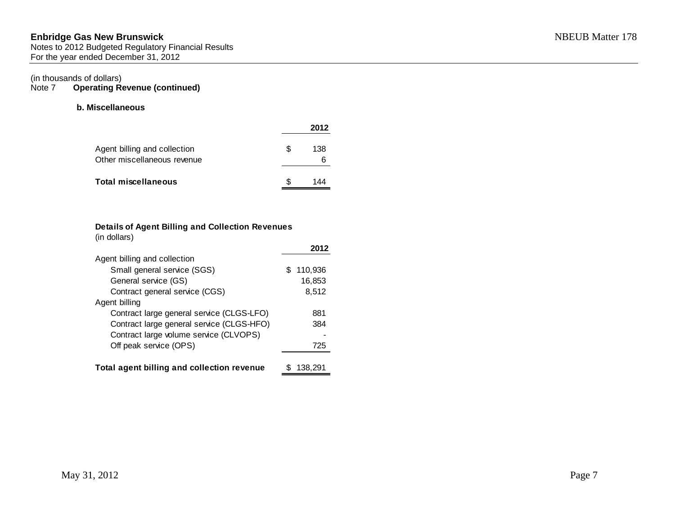## **Enbridge Gas New Brunswick** NBEUB Matter 178 Notes to 2012 Budgeted Regulatory Financial Results For the year ended December 31, 2012

# (in thousands of dollars)<br>Note  $7$  Operating Re

**Operating Revenue (continued)** 

## **b. Miscellaneous**

|                                                             |    | 2012     |
|-------------------------------------------------------------|----|----------|
| Agent billing and collection<br>Other miscellaneous revenue | S. | 138<br>6 |
| Total miscellaneous                                         | S. | 144      |

#### **Details of Agent Billing and Collection Revenues** (in dollars)

| (III GUILDIS)                              |               |
|--------------------------------------------|---------------|
|                                            | 2012          |
| Agent billing and collection               |               |
| Small general service (SGS)                | 110,936<br>S. |
| General service (GS)                       | 16,853        |
| Contract general service (CGS)             | 8,512         |
| Agent billing                              |               |
| Contract large general service (CLGS-LFO)  | 881           |
| Contract large general service (CLGS-HFO)  | 384           |
| Contract large volume service (CLVOPS)     |               |
| Off peak service (OPS)                     | 725           |
|                                            |               |
| Total agent billing and collection revenue | 138.291       |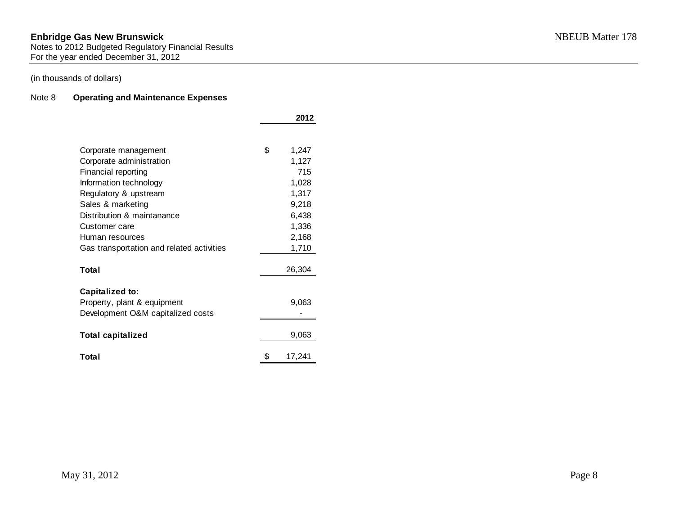Notes to 2012 Budgeted Regulatory Financial Results For the year ended December 31, 2012

## (in thousands of dollars)

## Note 8 **Operating and Maintenance Expenses**

|                                           | 2012         |
|-------------------------------------------|--------------|
|                                           |              |
| Corporate management                      | \$<br>1,247  |
| Corporate administration                  | 1,127        |
| Financial reporting                       | 715          |
| Information technology                    | 1,028        |
| Regulatory & upstream                     | 1,317        |
| Sales & marketing                         | 9,218        |
| Distribution & maintanance                | 6,438        |
| Customer care                             | 1,336        |
| Human resources                           | 2,168        |
| Gas transportation and related activities | 1,710        |
| Total                                     | 26,304       |
|                                           |              |
| <b>Capitalized to:</b>                    |              |
| Property, plant & equipment               | 9,063        |
| Development O&M capitalized costs         |              |
|                                           |              |
| <b>Total capitalized</b>                  | 9,063        |
| Total                                     | \$<br>17,241 |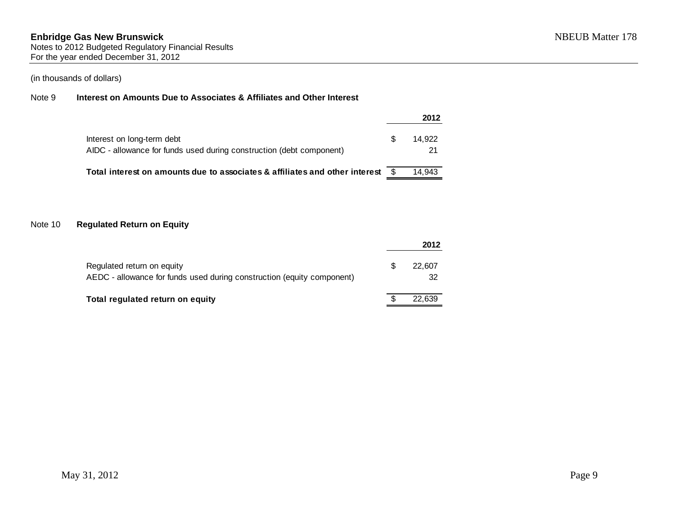## Note 9 **Interest on Amounts Due to Associates & Affiliates and Other Interest**

|                                                                                                    |   | 2012         |
|----------------------------------------------------------------------------------------------------|---|--------------|
| Interest on long-term debt<br>AIDC - allowance for funds used during construction (debt component) | S | 14.922<br>21 |
| Total interest on amounts due to associates & affiliates and other interest                        |   | 14.943       |

## Note 10 **Regulated Return on Equity**

|                                                                                                      |   | 2012         |
|------------------------------------------------------------------------------------------------------|---|--------------|
| Regulated return on equity<br>AEDC - allowance for funds used during construction (equity component) | S | 22,607<br>32 |
| Total regulated return on equity                                                                     |   | 22.639       |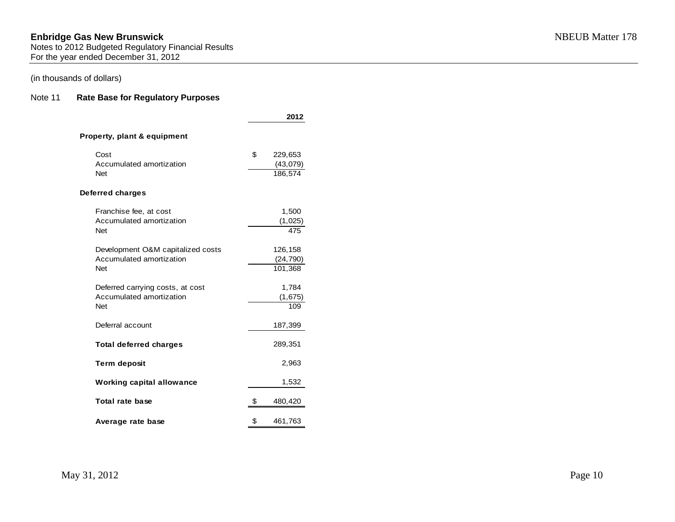Notes to 2012 Budgeted Regulatory Financial Results For the year ended December 31, 2012

## (in thousands of dollars)

## Note 11 **Rate Base for Regulatory Purposes**

|                                                                             | 2012                                 |
|-----------------------------------------------------------------------------|--------------------------------------|
| Property, plant & equipment                                                 |                                      |
| Cost<br>Accumulated amortization<br><b>Net</b>                              | \$<br>229,653<br>(43,079)<br>186,574 |
| <b>Deferred charges</b>                                                     |                                      |
| Franchise fee, at cost<br>Accumulated amortization<br><b>Net</b>            | 1,500<br>(1,025)<br>475              |
| Development O&M capitalized costs<br>Accumulated amortization<br><b>Net</b> | 126,158<br>(24, 790)<br>101,368      |
| Deferred carrying costs, at cost<br>Accumulated amortization<br><b>Net</b>  | 1,784<br>(1,675)<br>109              |
| Deferral account                                                            | 187,399                              |
| <b>Total deferred charges</b>                                               | 289,351                              |
| <b>Term deposit</b>                                                         | 2,963                                |
| <b>Working capital allowance</b>                                            | 1,532                                |
| Total rate base                                                             | \$<br>480,420                        |
| Average rate base                                                           | \$<br>461,763                        |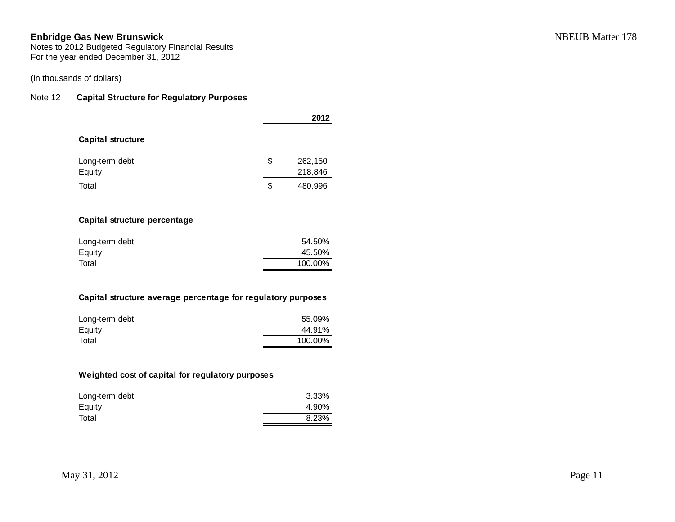## (in thousands of dollars)

## Note 12 **Capital Structure for Regulatory Purposes**

|                          | 2012 |         |  |
|--------------------------|------|---------|--|
| <b>Capital structure</b> |      |         |  |
| Long-term debt           | \$   | 262,150 |  |
| Equity                   |      | 218,846 |  |
| Total                    | S    | 480,996 |  |

## **Capital structure percentage**

| Long-term debt | 54.50%  |
|----------------|---------|
| Equity         | 45.50%  |
| Total          | 100.00% |

## **Capital structure average percentage for regulatory purposes**

| Long-term debt | 55.09%  |
|----------------|---------|
| Equity         | 44.91%  |
| Total          | 100.00% |

## **Weighted cost of capital for regulatory purposes**

| Long-term debt | 3.33% |
|----------------|-------|
| Equity         | 4.90% |
| Total          | 8.23% |